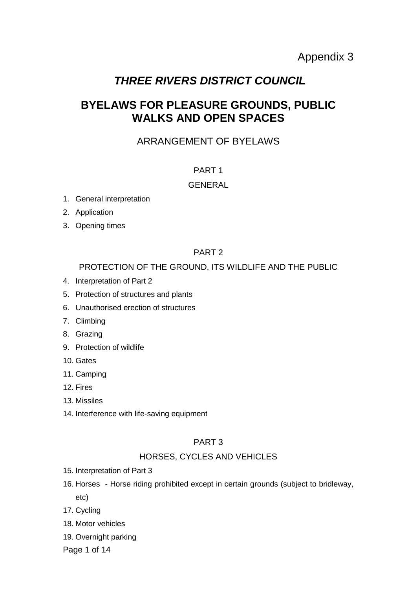# *THREE RIVERS DISTRICT COUNCIL*

# **BYELAWS FOR PLEASURE GROUNDS, PUBLIC WALKS AND OPEN SPACES**

# ARRANGEMENT OF BYELAWS

## PART 1

## GENERAL

- 1. General interpretation
- 2. Application
- 3. Opening times

## PART 2

## PROTECTION OF THE GROUND, ITS WILDLIFE AND THE PUBLIC

- 4. Interpretation of Part 2
- 5. Protection of structures and plants
- 6. Unauthorised erection of structures
- 7. Climbing
- 8. Grazing
- 9. Protection of wildlife
- 10. Gates
- 11. Camping
- 12. Fires
- 13. Missiles
- 14. Interference with life-saving equipment

## PART 3

## HORSES, CYCLES AND VEHICLES

- 15. Interpretation of Part 3
- 16. Horses Horse riding prohibited except in certain grounds (subject to bridleway, etc)
- 17. Cycling
- 18. Motor vehicles
- 19. Overnight parking

Page 1 of 14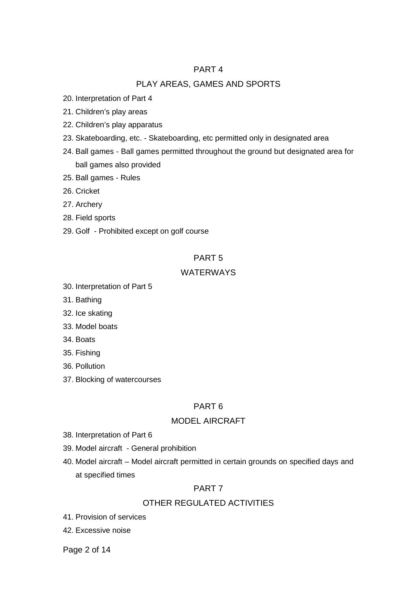## PART 4

## PLAY AREAS, GAMES AND SPORTS

- 20. Interpretation of Part 4
- 21. Children's play areas
- 22. Children's play apparatus
- 23. Skateboarding, etc. Skateboarding, etc permitted only in designated area
- 24. Ball games Ball games permitted throughout the ground but designated area for ball games also provided
- 25. Ball games Rules
- 26. Cricket
- 27. Archery
- 28. Field sports
- 29. Golf Prohibited except on golf course

## PART 5

## WATERWAYS

- 30. Interpretation of Part 5
- 31. Bathing
- 32. Ice skating
- 33. Model boats
- 34. Boats
- 35. Fishing
- 36. Pollution
- 37. Blocking of watercourses

## PART 6

## MODEL AIRCRAFT

- 38. Interpretation of Part 6
- 39. Model aircraft General prohibition
- 40. Model aircraft Model aircraft permitted in certain grounds on specified days and at specified times

## PART 7

## OTHER REGULATED ACTIVITIES

- 41. Provision of services
- 42. Excessive noise

Page 2 of 14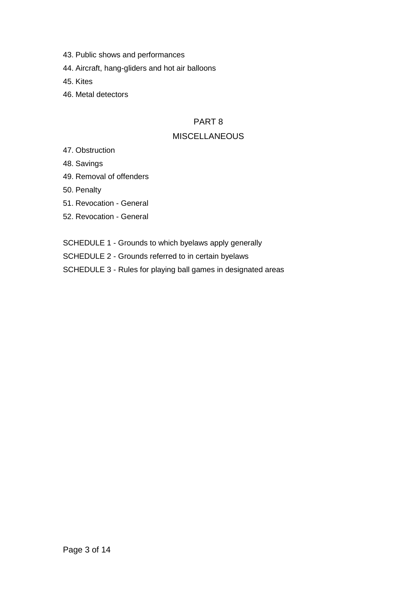- 43. Public shows and performances
- 44. Aircraft, hang-gliders and hot air balloons
- 45. Kites
- 46. Metal detectors

## PART 8

## **MISCELLANEOUS**

- 47. Obstruction
- 48. Savings
- 49. Removal of offenders
- 50. Penalty
- 51. Revocation General
- 52. Revocation General
- SCHEDULE 1 Grounds to which byelaws apply generally
- SCHEDULE 2 Grounds referred to in certain byelaws
- SCHEDULE 3 Rules for playing ball games in designated areas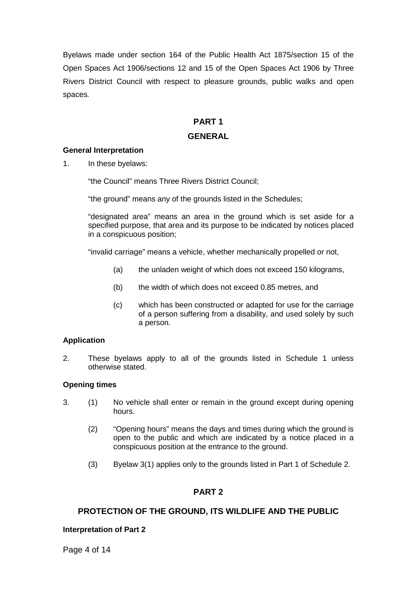Byelaws made under section 164 of the Public Health Act 1875/section 15 of the Open Spaces Act 1906/sections 12 and 15 of the Open Spaces Act 1906 by Three Rivers District Council with respect to pleasure grounds, public walks and open spaces*.*

## **PART 1 GENERAL**

## **General Interpretation**

1. In these byelaws:

"the Council" means Three Rivers District Council;

"the ground" means any of the grounds listed in the Schedules;

"designated area" means an area in the ground which is set aside for a specified purpose, that area and its purpose to be indicated by notices placed in a conspicuous position;

"invalid carriage" means a vehicle, whether mechanically propelled or not,

- (a) the unladen weight of which does not exceed 150 kilograms,
- (b) the width of which does not exceed 0.85 metres, and
- (c) which has been constructed or adapted for use for the carriage of a person suffering from a disability, and used solely by such a person.

## **Application**

2. These byelaws apply to all of the grounds listed in Schedule 1 unless otherwise stated.

### **Opening times**

- 3. (1) No vehicle shall enter or remain in the ground except during opening hours.
	- (2) "Opening hours" means the days and times during which the ground is open to the public and which are indicated by a notice placed in a conspicuous position at the entrance to the ground.
	- (3) Byelaw 3(1) applies only to the grounds listed in Part 1 of Schedule 2.

## **PART 2**

## **PROTECTION OF THE GROUND, ITS WILDLIFE AND THE PUBLIC**

### **Interpretation of Part 2**

Page 4 of 14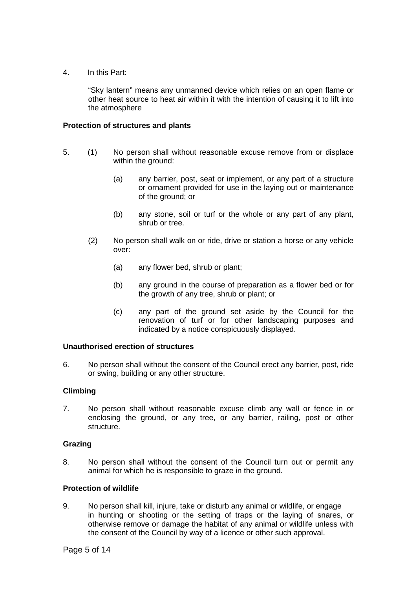4. In this Part:

"Sky lantern" means any unmanned device which relies on an open flame or other heat source to heat air within it with the intention of causing it to lift into the atmosphere

### **Protection of structures and plants**

- 5. (1) No person shall without reasonable excuse remove from or displace within the ground:
	- (a) any barrier, post, seat or implement, or any part of a structure or ornament provided for use in the laying out or maintenance of the ground; or
	- (b) any stone, soil or turf or the whole or any part of any plant, shrub or tree.
	- (2) No person shall walk on or ride, drive or station a horse or any vehicle over:
		- (a) any flower bed, shrub or plant;
		- (b) any ground in the course of preparation as a flower bed or for the growth of any tree, shrub or plant; or
		- (c) any part of the ground set aside by the Council for the renovation of turf or for other landscaping purposes and indicated by a notice conspicuously displayed.

### **Unauthorised erection of structures**

6. No person shall without the consent of the Council erect any barrier, post, ride or swing, building or any other structure.

## **Climbing**

7. No person shall without reasonable excuse climb any wall or fence in or enclosing the ground, or any tree, or any barrier, railing, post or other structure.

## **Grazing**

8. No person shall without the consent of the Council turn out or permit any animal for which he is responsible to graze in the ground.

### **Protection of wildlife**

9. No person shall kill, injure, take or disturb any animal or wildlife, or engage in hunting or shooting or the setting of traps or the laying of snares, or otherwise remove or damage the habitat of any animal or wildlife unless with the consent of the Council by way of a licence or other such approval.

Page 5 of 14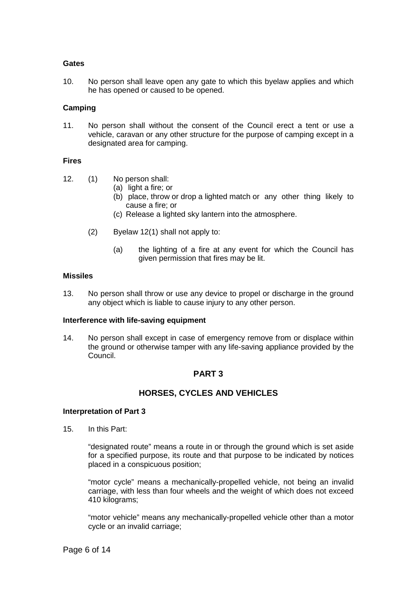#### **Gates**

10. No person shall leave open any gate to which this byelaw applies and which he has opened or caused to be opened.

#### **Camping**

11. No person shall without the consent of the Council erect a tent or use a vehicle, caravan or any other structure for the purpose of camping except in a designated area for camping.

#### **Fires**

12. (1) No person shall:

- (a) light a fire; or
- (b) place, throw or drop a lighted match or any other thing likely to cause a fire; or
- (c) Release a lighted sky lantern into the atmosphere.
- (2) Byelaw 12(1) shall not apply to:
	- (a) the lighting of a fire at any event for which the Council has given permission that fires may be lit.

#### **Missiles**

13. No person shall throw or use any device to propel or discharge in the ground any object which is liable to cause injury to any other person.

#### **Interference with life-saving equipment**

14. No person shall except in case of emergency remove from or displace within the ground or otherwise tamper with any life-saving appliance provided by the Council.

## **PART 3**

## **HORSES, CYCLES AND VEHICLES**

### **Interpretation of Part 3**

15. In this Part:

"designated route" means a route in or through the ground which is set aside for a specified purpose, its route and that purpose to be indicated by notices placed in a conspicuous position;

"motor cycle" means a mechanically-propelled vehicle, not being an invalid carriage, with less than four wheels and the weight of which does not exceed 410 kilograms;

"motor vehicle" means any mechanically-propelled vehicle other than a motor cycle or an invalid carriage;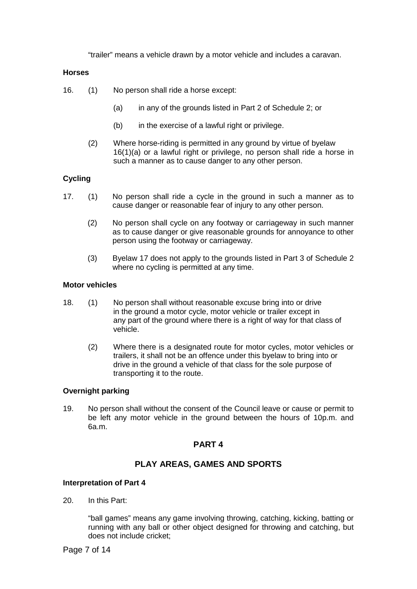"trailer" means a vehicle drawn by a motor vehicle and includes a caravan.

## **Horses**

16. (1) No person shall ride a horse except:

- (a) in any of the grounds listed in Part 2 of Schedule 2; or
- (b) in the exercise of a lawful right or privilege.
- (2) Where horse-riding is permitted in any ground by virtue of byelaw 16(1)(a) or a lawful right or privilege, no person shall ride a horse in such a manner as to cause danger to any other person.

## **Cycling**

- 17. (1) No person shall ride a cycle in the ground in such a manner as to cause danger or reasonable fear of injury to any other person.
	- (2) No person shall cycle on any footway or carriageway in such manner as to cause danger or give reasonable grounds for annoyance to other person using the footway or carriageway.
	- (3) Byelaw 17 does not apply to the grounds listed in Part 3 of Schedule 2 where no cycling is permitted at any time.

## **Motor vehicles**

- 18. (1) No person shall without reasonable excuse bring into or drive in the ground a motor cycle, motor vehicle or trailer except in any part of the ground where there is a right of way for that class of vehicle.
	- (2) Where there is a designated route for motor cycles, motor vehicles or trailers, it shall not be an offence under this byelaw to bring into or drive in the ground a vehicle of that class for the sole purpose of transporting it to the route.

## **Overnight parking**

19. No person shall without the consent of the Council leave or cause or permit to be left any motor vehicle in the ground between the hours of 10p.m. and 6a.m.

## **PART 4**

## **PLAY AREAS, GAMES AND SPORTS**

### **Interpretation of Part 4**

20. In this Part:

"ball games" means any game involving throwing, catching, kicking, batting or running with any ball or other object designed for throwing and catching, but does not include cricket;

Page 7 of 14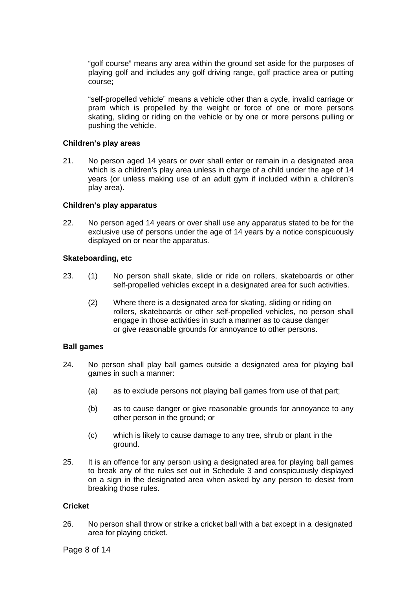"golf course" means any area within the ground set aside for the purposes of playing golf and includes any golf driving range, golf practice area or putting course;

"self-propelled vehicle" means a vehicle other than a cycle, invalid carriage or pram which is propelled by the weight or force of one or more persons skating, sliding or riding on the vehicle or by one or more persons pulling or pushing the vehicle.

### **Children's play areas**

21. No person aged 14 years or over shall enter or remain in a designated area which is a children's play area unless in charge of a child under the age of 14 years (or unless making use of an adult gym if included within a children's play area).

#### **Children's play apparatus**

22. No person aged 14 years or over shall use any apparatus stated to be for the exclusive use of persons under the age of 14 years by a notice conspicuously displayed on or near the apparatus.

#### **Skateboarding, etc**

- 23. (1) No person shall skate, slide or ride on rollers, skateboards or other self-propelled vehicles except in a designated area for such activities.
	- (2) Where there is a designated area for skating, sliding or riding on rollers, skateboards or other self-propelled vehicles, no person shall engage in those activities in such a manner as to cause danger or give reasonable grounds for annoyance to other persons.

#### **Ball games**

- 24. No person shall play ball games outside a designated area for playing ball games in such a manner:
	- (a) as to exclude persons not playing ball games from use of that part;
	- (b) as to cause danger or give reasonable grounds for annoyance to any other person in the ground; or
	- (c) which is likely to cause damage to any tree, shrub or plant in the ground.
- 25. It is an offence for any person using a designated area for playing ball games to break any of the rules set out in Schedule 3 and conspicuously displayed on a sign in the designated area when asked by any person to desist from breaking those rules.

## **Cricket**

26. No person shall throw or strike a cricket ball with a bat except in a designated area for playing cricket.

Page 8 of 14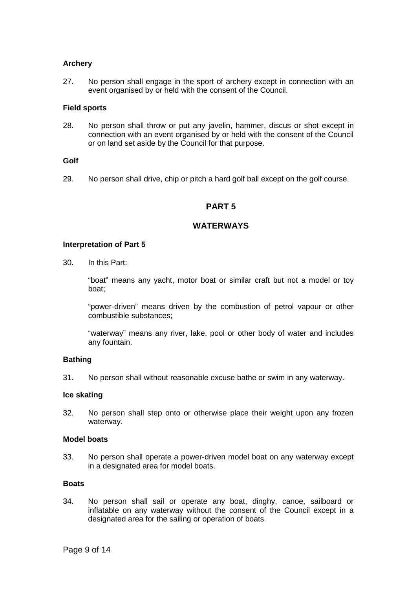### **Archery**

27. No person shall engage in the sport of archery except in connection with an event organised by or held with the consent of the Council.

### **Field sports**

28. No person shall throw or put any javelin, hammer, discus or shot except in connection with an event organised by or held with the consent of the Council or on land set aside by the Council for that purpose.

#### **Golf**

29. No person shall drive, chip or pitch a hard golf ball except on the golf course.

## **PART 5**

## **WATERWAYS**

#### **Interpretation of Part 5**

30. In this Part:

"boat" means any yacht, motor boat or similar craft but not a model or toy boat;

"power-driven" means driven by the combustion of petrol vapour or other combustible substances;

"waterway" means any river, lake, pool or other body of water and includes any fountain.

## **Bathing**

31. No person shall without reasonable excuse bathe or swim in any waterway.

#### **Ice skating**

32. No person shall step onto or otherwise place their weight upon any frozen waterway.

#### **Model boats**

33. No person shall operate a power-driven model boat on any waterway except in a designated area for model boats.

#### **Boats**

34. No person shall sail or operate any boat, dinghy, canoe, sailboard or inflatable on any waterway without the consent of the Council except in a designated area for the sailing or operation of boats.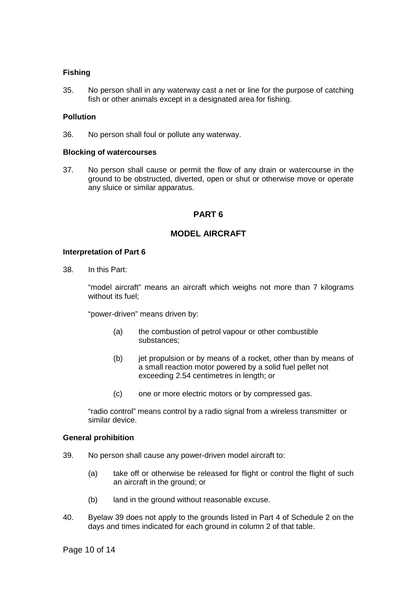## **Fishing**

35. No person shall in any waterway cast a net or line for the purpose of catching fish or other animals except in a designated area for fishing.

### **Pollution**

36. No person shall foul or pollute any waterway.

### **Blocking of watercourses**

37. No person shall cause or permit the flow of any drain or watercourse in the ground to be obstructed, diverted, open or shut or otherwise move or operate any sluice or similar apparatus.

## **PART 6**

## **MODEL AIRCRAFT**

### **Interpretation of Part 6**

38. In this Part:

"model aircraft" means an aircraft which weighs not more than 7 kilograms without its fuel;

"power-driven" means driven by:

- (a) the combustion of petrol vapour or other combustible substances;
- $(b)$  jet propulsion or by means of a rocket, other than by means of a small reaction motor powered by a solid fuel pellet not exceeding 2.54 centimetres in length; or
- (c) one or more electric motors or by compressed gas.

"radio control" means control by a radio signal from a wireless transmitter or similar device.

### **General prohibition**

- 39. No person shall cause any power-driven model aircraft to:
	- (a) take off or otherwise be released for flight or control the flight of such an aircraft in the ground; or
	- (b) land in the ground without reasonable excuse.
- 40. Byelaw 39 does not apply to the grounds listed in Part 4 of Schedule 2 on the days and times indicated for each ground in column 2 of that table.

Page 10 of 14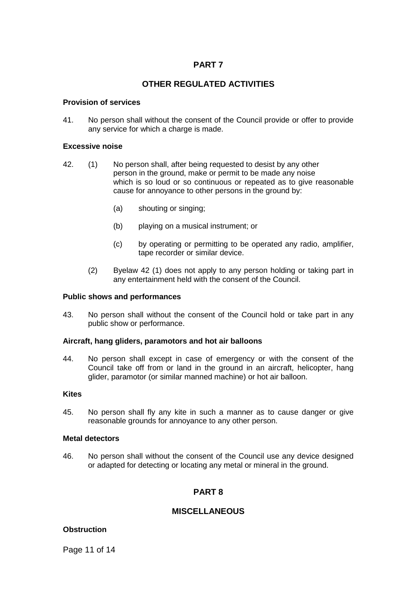## **PART 7**

## **OTHER REGULATED ACTIVITIES**

### **Provision of services**

41. No person shall without the consent of the Council provide or offer to provide any service for which a charge is made.

### **Excessive noise**

- 42. (1) No person shall, after being requested to desist by any other person in the ground, make or permit to be made any noise which is so loud or so continuous or repeated as to give reasonable cause for annoyance to other persons in the ground by:
	- (a) shouting or singing;
	- (b) playing on a musical instrument; or
	- (c) by operating or permitting to be operated any radio, amplifier, tape recorder or similar device.
	- (2) Byelaw 42 (1) does not apply to any person holding or taking part in any entertainment held with the consent of the Council.

### **Public shows and performances**

43. No person shall without the consent of the Council hold or take part in any public show or performance.

### **Aircraft, hang gliders, paramotors and hot air balloons**

44. No person shall except in case of emergency or with the consent of the Council take off from or land in the ground in an aircraft, helicopter, hang glider, paramotor (or similar manned machine) or hot air balloon.

## **Kites**

45. No person shall fly any kite in such a manner as to cause danger or give reasonable grounds for annoyance to any other person.

### **Metal detectors**

46. No person shall without the consent of the Council use any device designed or adapted for detecting or locating any metal or mineral in the ground.

## **PART 8**

## **MISCELLANEOUS**

## **Obstruction**

Page 11 of 14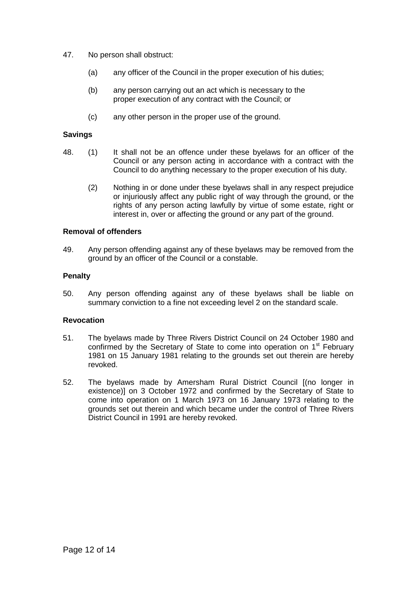- 47. No person shall obstruct:
	- (a) any officer of the Council in the proper execution of his duties;
	- (b) any person carrying out an act which is necessary to the proper execution of any contract with the Council; or
	- (c) any other person in the proper use of the ground.

## **Savings**

- 48. (1) It shall not be an offence under these byelaws for an officer of the Council or any person acting in accordance with a contract with the Council to do anything necessary to the proper execution of his duty.
	- (2) Nothing in or done under these byelaws shall in any respect prejudice or injuriously affect any public right of way through the ground, or the rights of any person acting lawfully by virtue of some estate, right or interest in, over or affecting the ground or any part of the ground.

## **Removal of offenders**

49. Any person offending against any of these byelaws may be removed from the ground by an officer of the Council or a constable.

## **Penalty**

50. Any person offending against any of these byelaws shall be liable on summary conviction to a fine not exceeding level 2 on the standard scale.

### **Revocation**

- 51. The byelaws made by Three Rivers District Council on 24 October 1980 and confirmed by the Secretary of State to come into operation on 1<sup>st</sup> February 1981 on 15 January 1981 relating to the grounds set out therein are hereby revoked.
- 52. The byelaws made by Amersham Rural District Council [(no longer in existence)] on 3 October 1972 and confirmed by the Secretary of State to come into operation on 1 March 1973 on 16 January 1973 relating to the grounds set out therein and which became under the control of Three Rivers District Council in 1991 are hereby revoked.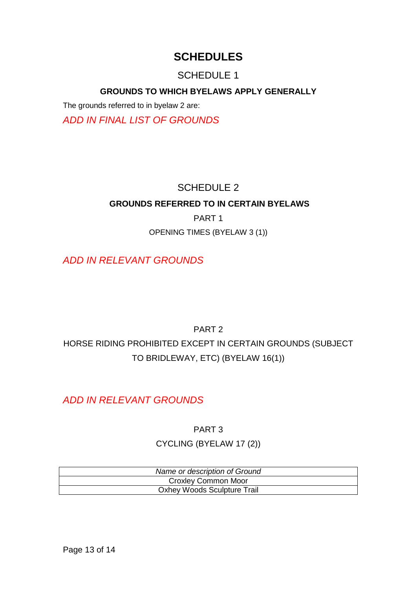# **SCHEDULES**

# SCHEDULE 1

## **GROUNDS TO WHICH BYELAWS APPLY GENERALLY**

The grounds referred to in byelaw 2 are:

*ADD IN FINAL LIST OF GROUNDS*

# SCHEDULE 2

## **GROUNDS REFERRED TO IN CERTAIN BYELAWS**

PART 1

OPENING TIMES (BYELAW 3 (1))

*ADD IN RELEVANT GROUNDS*

## PART 2

HORSE RIDING PROHIBITED EXCEPT IN CERTAIN GROUNDS (SUBJECT TO BRIDLEWAY, ETC) (BYELAW 16(1))

*ADD IN RELEVANT GROUNDS*

PART 3 CYCLING (BYELAW 17 (2))

| Name or description of Ground      |  |
|------------------------------------|--|
| <b>Croxley Common Moor</b>         |  |
| <b>Oxhey Woods Sculpture Trail</b> |  |

Page 13 of 14